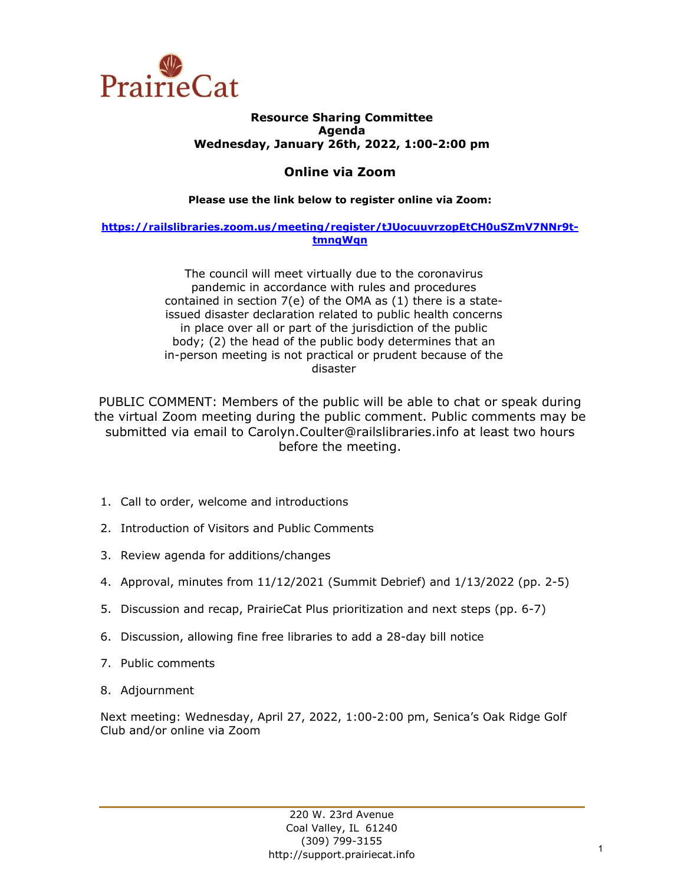

## **Resource Sharing Committee Agenda Wednesday, January 26th, 2022, 1:00-2:00 pm**

# **Online via Zoom**

## **Please use the link below to register online via Zoom:**

## **[https://railslibraries.zoom.us/meeting/register/tJUocuuvrzopEtCH0uSZmV7NNr9t](https://railslibraries.zoom.us/meeting/register/tJUocuuvrzopEtCH0uSZmV7NNr9t-tmnqWqn)[tmnqWqn](https://railslibraries.zoom.us/meeting/register/tJUocuuvrzopEtCH0uSZmV7NNr9t-tmnqWqn)**

The council will meet virtually due to the coronavirus pandemic in accordance with rules and procedures contained in section 7(e) of the OMA as (1) there is a stateissued disaster declaration related to public health concerns in place over all or part of the jurisdiction of the public body; (2) the head of the public body determines that an in-person meeting is not practical or prudent because of the disaster

PUBLIC COMMENT: Members of the public will be able to chat or speak during the virtual Zoom meeting during the public comment. Public comments may be submitted via email to Carolyn.Coulter@railslibraries.info at least two hours before the meeting.

- 1. Call to order, welcome and introductions
- 2. Introduction of Visitors and Public Comments
- 3. Review agenda for additions/changes
- 4. Approval, minutes from 11/12/2021 (Summit Debrief) and 1/13/2022 (pp. 2-5)
- 5. Discussion and recap, PrairieCat Plus prioritization and next steps (pp. 6-7)
- 6. Discussion, allowing fine free libraries to add a 28-day bill notice
- 7. Public comments
- 8. Adjournment

Next meeting: Wednesday, April 27, 2022, 1:00-2:00 pm, Senica's Oak Ridge Golf Club and/or online via Zoom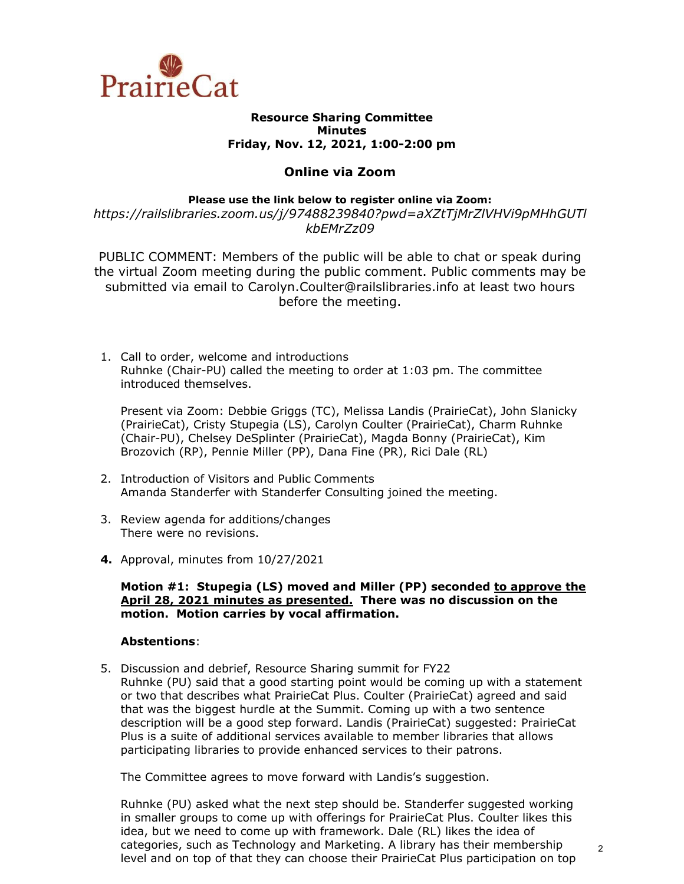

#### **Resource Sharing Committee Minutes Friday, Nov. 12, 2021, 1:00-2:00 pm**

## **Online via Zoom**

#### **Please use the link below to register online via Zoom:**

*https://railslibraries.zoom.us/j/97488239840?pwd=aXZtTjMrZlVHVi9pMHhGUTl kbEMrZz09*

PUBLIC COMMENT: Members of the public will be able to chat or speak during the virtual Zoom meeting during the public comment. Public comments may be submitted via email to Carolyn.Coulter@railslibraries.info at least two hours before the meeting.

1. Call to order, welcome and introductions Ruhnke (Chair-PU) called the meeting to order at 1:03 pm. The committee introduced themselves.

Present via Zoom: Debbie Griggs (TC), Melissa Landis (PrairieCat), John Slanicky (PrairieCat), Cristy Stupegia (LS), Carolyn Coulter (PrairieCat), Charm Ruhnke (Chair-PU), Chelsey DeSplinter (PrairieCat), Magda Bonny (PrairieCat), Kim Brozovich (RP), Pennie Miller (PP), Dana Fine (PR), Rici Dale (RL)

- 2. Introduction of Visitors and Public Comments Amanda Standerfer with Standerfer Consulting joined the meeting.
- 3. Review agenda for additions/changes There were no revisions.
- **4.** Approval, minutes from 10/27/2021

#### **Motion #1: Stupegia (LS) moved and Miller (PP) seconded to approve the April 28, 2021 minutes as presented. There was no discussion on the motion. Motion carries by vocal affirmation.**

### **Abstentions**:

5. Discussion and debrief, Resource Sharing summit for FY22 Ruhnke (PU) said that a good starting point would be coming up with a statement or two that describes what PrairieCat Plus. Coulter (PrairieCat) agreed and said that was the biggest hurdle at the Summit. Coming up with a two sentence description will be a good step forward. Landis (PrairieCat) suggested: PrairieCat Plus is a suite of additional services available to member libraries that allows participating libraries to provide enhanced services to their patrons.

The Committee agrees to move forward with Landis's suggestion.

Ruhnke (PU) asked what the next step should be. Standerfer suggested working in smaller groups to come up with offerings for PrairieCat Plus. Coulter likes this idea, but we need to come up with framework. Dale (RL) likes the idea of categories, such as Technology and Marketing. A library has their membership level and on top of that they can choose their PrairieCat Plus participation on top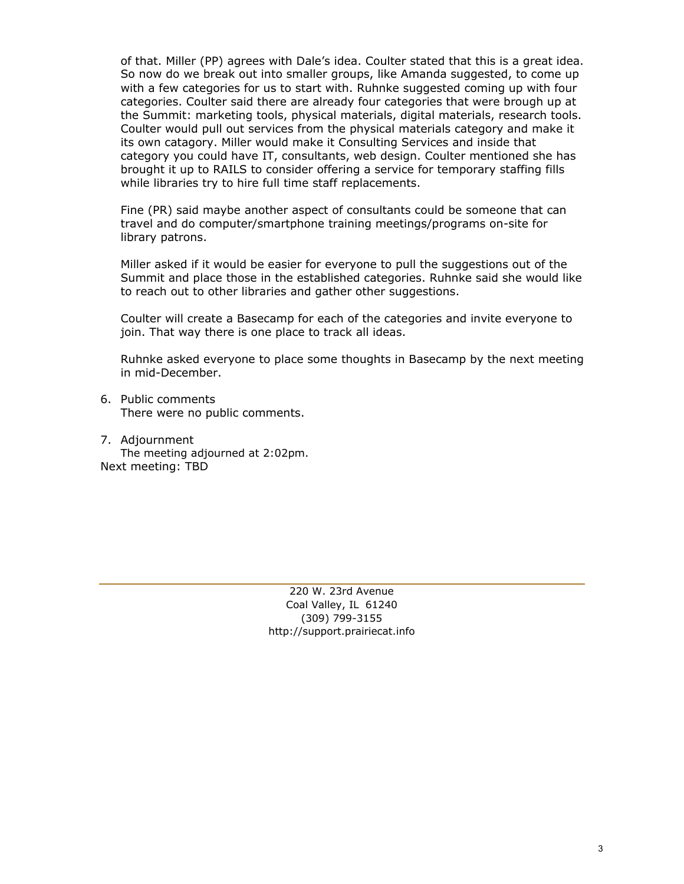of that. Miller (PP) agrees with Dale's idea. Coulter stated that this is a great idea. So now do we break out into smaller groups, like Amanda suggested, to come up with a few categories for us to start with. Ruhnke suggested coming up with four categories. Coulter said there are already four categories that were brough up at the Summit: marketing tools, physical materials, digital materials, research tools. Coulter would pull out services from the physical materials category and make it its own catagory. Miller would make it Consulting Services and inside that category you could have IT, consultants, web design. Coulter mentioned she has brought it up to RAILS to consider offering a service for temporary staffing fills while libraries try to hire full time staff replacements.

Fine (PR) said maybe another aspect of consultants could be someone that can travel and do computer/smartphone training meetings/programs on-site for library patrons.

Miller asked if it would be easier for everyone to pull the suggestions out of the Summit and place those in the established categories. Ruhnke said she would like to reach out to other libraries and gather other suggestions.

Coulter will create a Basecamp for each of the categories and invite everyone to join. That way there is one place to track all ideas.

Ruhnke asked everyone to place some thoughts in Basecamp by the next meeting in mid-December.

- 6. Public comments There were no public comments.
- 7. Adjournment The meeting adjourned at 2:02pm. Next meeting: TBD

220 W. 23rd Avenue Coal Valley, IL 61240 (309) 799-3155 [http://support.prairiecat.info](http://support.prairiecat.info/)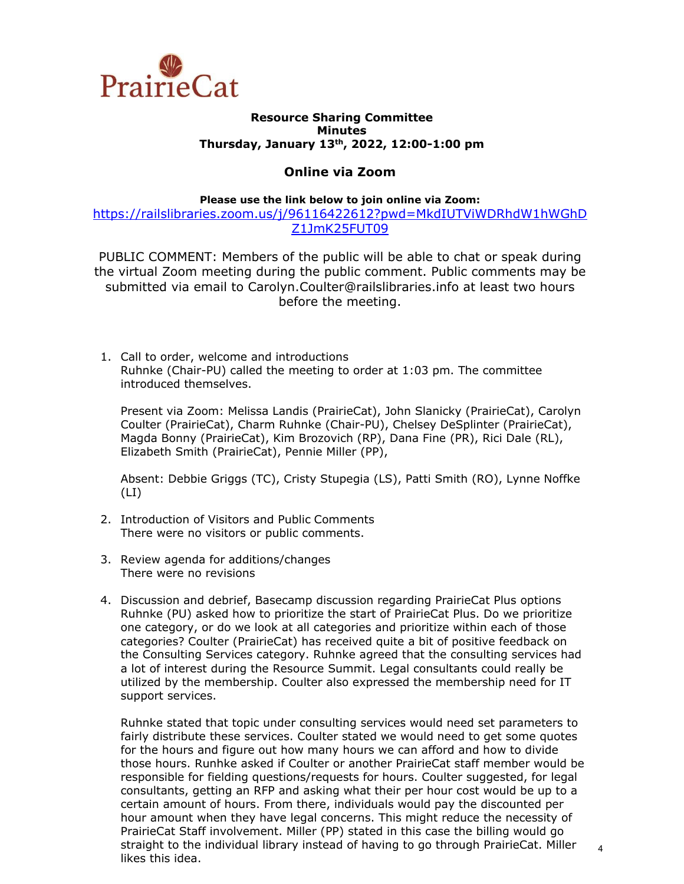

#### **Resource Sharing Committee Minutes Thursday, January 13th, 2022, 12:00-1:00 pm**

## **Online via Zoom**

#### **Please use the link below to join online via Zoom:**

[https://railslibraries.zoom.us/j/96116422612?pwd=MkdIUTViWDRhdW1hWGhD](https://railslibraries.zoom.us/j/96116422612?pwd=MkdIUTViWDRhdW1hWGhDZ1JmK25FUT09) [Z1JmK25FUT09](https://railslibraries.zoom.us/j/96116422612?pwd=MkdIUTViWDRhdW1hWGhDZ1JmK25FUT09)

PUBLIC COMMENT: Members of the public will be able to chat or speak during the virtual Zoom meeting during the public comment. Public comments may be submitted via email to Carolyn.Coulter@railslibraries.info at least two hours before the meeting.

1. Call to order, welcome and introductions Ruhnke (Chair-PU) called the meeting to order at 1:03 pm. The committee introduced themselves.

Present via Zoom: Melissa Landis (PrairieCat), John Slanicky (PrairieCat), Carolyn Coulter (PrairieCat), Charm Ruhnke (Chair-PU), Chelsey DeSplinter (PrairieCat), Magda Bonny (PrairieCat), Kim Brozovich (RP), Dana Fine (PR), Rici Dale (RL), Elizabeth Smith (PrairieCat), Pennie Miller (PP),

Absent: Debbie Griggs (TC), Cristy Stupegia (LS), Patti Smith (RO), Lynne Noffke  $(LI)$ 

- 2. Introduction of Visitors and Public Comments There were no visitors or public comments.
- 3. Review agenda for additions/changes There were no revisions
- 4. Discussion and debrief, Basecamp discussion regarding PrairieCat Plus options Ruhnke (PU) asked how to prioritize the start of PrairieCat Plus. Do we prioritize one category, or do we look at all categories and prioritize within each of those categories? Coulter (PrairieCat) has received quite a bit of positive feedback on the Consulting Services category. Ruhnke agreed that the consulting services had a lot of interest during the Resource Summit. Legal consultants could really be utilized by the membership. Coulter also expressed the membership need for IT support services.

Ruhnke stated that topic under consulting services would need set parameters to fairly distribute these services. Coulter stated we would need to get some quotes for the hours and figure out how many hours we can afford and how to divide those hours. Runhke asked if Coulter or another PrairieCat staff member would be responsible for fielding questions/requests for hours. Coulter suggested, for legal consultants, getting an RFP and asking what their per hour cost would be up to a certain amount of hours. From there, individuals would pay the discounted per hour amount when they have legal concerns. This might reduce the necessity of PrairieCat Staff involvement. Miller (PP) stated in this case the billing would go straight to the individual library instead of having to go through PrairieCat. Miller likes this idea.

4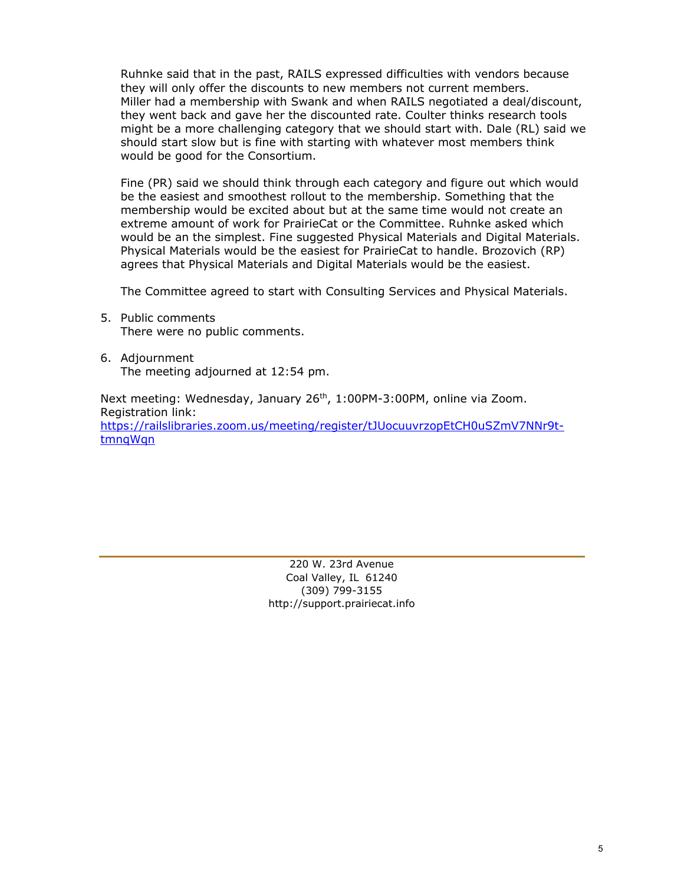Ruhnke said that in the past, RAILS expressed difficulties with vendors because they will only offer the discounts to new members not current members. Miller had a membership with Swank and when RAILS negotiated a deal/discount, they went back and gave her the discounted rate. Coulter thinks research tools might be a more challenging category that we should start with. Dale (RL) said we should start slow but is fine with starting with whatever most members think would be good for the Consortium.

Fine (PR) said we should think through each category and figure out which would be the easiest and smoothest rollout to the membership. Something that the membership would be excited about but at the same time would not create an extreme amount of work for PrairieCat or the Committee. Ruhnke asked which would be an the simplest. Fine suggested Physical Materials and Digital Materials. Physical Materials would be the easiest for PrairieCat to handle. Brozovich (RP) agrees that Physical Materials and Digital Materials would be the easiest.

The Committee agreed to start with Consulting Services and Physical Materials.

- 5. Public comments There were no public comments.
- 6. Adjournment The meeting adjourned at 12:54 pm.

Next meeting: Wednesday, January 26<sup>th</sup>, 1:00PM-3:00PM, online via Zoom. Registration link: [https://railslibraries.zoom.us/meeting/register/tJUocuuvrzopEtCH0uSZmV7NNr9t](https://railslibraries.zoom.us/meeting/register/tJUocuuvrzopEtCH0uSZmV7NNr9t-tmnqWqn)[tmnqWqn](https://railslibraries.zoom.us/meeting/register/tJUocuuvrzopEtCH0uSZmV7NNr9t-tmnqWqn)

> 220 W. 23rd Avenue Coal Valley, IL 61240 (309) 799-3155 [http://support.prairiecat.info](http://support.prairiecat.info/)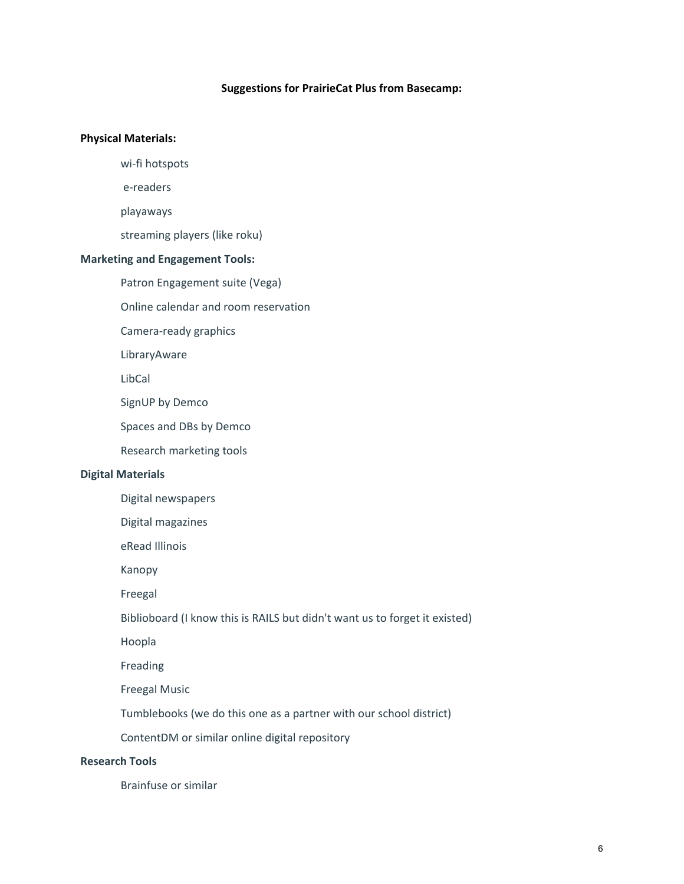#### **Suggestions for PrairieCat Plus from Basecamp:**

#### **Physical Materials:**

wi-fi hotspots

e-readers

playaways

streaming players (like roku)

### **Marketing and Engagement Tools:**

Patron Engagement suite (Vega)

Online calendar and room reservation

Camera-ready graphics

LibraryAware

LibCal

SignUP by Demco

Spaces and DBs by Demco

Research marketing tools

#### **Digital Materials**

Digital newspapers

Digital magazines

eRead Illinois

Kanopy

Freegal

Biblioboard (I know this is RAILS but didn't want us to forget it existed)

Hoopla

Freading

Freegal Music

Tumblebooks (we do this one as a partner with our school district)

ContentDM or similar online digital repository

## **Research Tools**

Brainfuse or similar